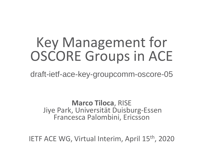## Key Management for OSCORE Groups in ACE

draft-ietf-ace-key-groupcomm-oscore-05

**Marco Tiloca**, RISE Jiye Park, Universität Duisburg-Essen Francesca Palombini, Ericsson

IETF ACE WG, Virtual Interim, April 15th, 2020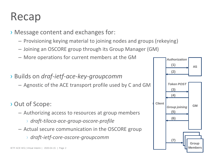#### Recap

- › Message content and exchanges for:
	- Provisioning keying material to joining nodes and groups (rekeying)
	- Joining an OSCORE group through its Group Manager (GM)
	- More operations for current members at the GM
- › Builds on *draf-ietf-ace-key-groupcomm*
	- Agnostic of the ACE transport profile used by C and GM
- › Out of Scope:
	- Authorizing access to resources at group members
		- › *draft-tiloca-ace-group-oscore-profile*
	- Actual secure communication in the OSCORE group
		- › *draft-ietf-core-oscore-groupcomm*

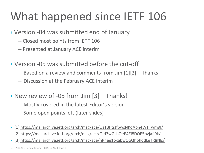### What happened since IETF 106

#### › Version -04 was submitted end of January

- Closed most points from IETF 106
- Presented at January ACE interim
- › Version -05 was submitted before the cut-off
	- Based on a review and comments from Jim [1][2] Thanks!
	- Discussion at the February ACE interim
- › New review of -05 from Jim [3] Thanks!
	- Mostly covered in the latest Editor's version
	- Some open points left (later slides)
- › [1] [https://mailarchive.ietf.org/arch/msg/ace/Uz1BfItsJfbwsNKdAbn4WT\\_wm9I/](https://mailarchive.ietf.org/arch/msg/ace/Uz1BfItsJfbwsNKdAbn4WT_wm9I/)
- › [2]<https://mailarchive.ietf.org/arch/msg/ace/OId3wGsbOeP4Ei8DOE5bvjafi9k/>
- › [3]<https://mailarchive.ietf.org/arch/msg/ace/nPnee1oxabwQoQhohqdLeTR8Nls/>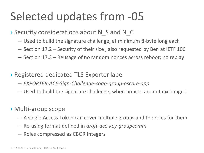#### Selected updates from -05

› Security considerations about N\_S and N\_C

- Used to build the signature challenge, at minimum 8-byte long each
- Section 17.2 Security of their size , also requested by Ben at IETF 106
- Section 17.3 Reusage of no random nonces across reboot; no replay
- › Registered dedicated TLS Exporter label
	- *EXPORTER-ACE-Sign-Challenge-coap-group-oscore-app*
	- Used to build the signature challenge, when nonces are not exchanged
- › Multi-group scope
	- A single Access Token can cover multiple groups and the roles for them
	- Re-using format defined in *draft-ace-key-groupcomm*
	- Roles compressed as CBOR integers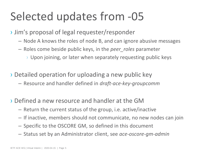#### Selected updates from -05

› Jim's proposal of legal requester/responder

- Node A knows the roles of node B, and can ignore abusive messages
- Roles come beside public keys, in the *peer\_roles* parameter
	- › Upon joining, or later when separately requesting public keys
- › Detailed operation for uploading a new public key
	- Resource and handler defined in *draft-ace-key-groupcomm*
- › Defined a new resource and handler at the GM
	- Return the current status of the group, i.e. active/inactive
	- If inactive, members should not communicate, no new nodes can join
	- Specific to the OSCORE GM, so defined in this document
	- Status set by an Administrator client, see *ace-oscore-gm-admin*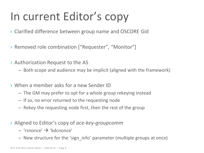#### In current Editor's copy

- › Clarified difference between group name and OSCORE Gid
- > Removed role combination ["Requester", "Monitor"]
- › Authorization Request to the AS
	- Both scope and audience may be implicit (aligned with the framework)
- › When a member asks for a new Sender ID
	- The GM may prefer to opt for a whole group rekeying instead
	- If so, no error returned to the requesting node
	- Rekey the requesting node first, then the rest of the group
- › Aligned to Editor's copy of *ace-key-groupcomm*
	- $-$  'rsnonce'  $\rightarrow$  'kdcnonce'
	- New structure for the 'sign\_info' parameter (multiple groups at once)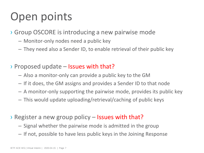#### Open points

› Group OSCORE is introducing a new pairwise mode

- Monitor-only nodes need a public key
- They need also a Sender ID, to enable retrieval of their public key
- › Proposed update Issues with that?
	- Also a monitor-only can provide a public key to the GM
	- If it does, the GM assigns and provides a Sender ID to that node
	- A monitor-only supporting the pairwise mode, provides its public key
	- This would update uploading/retrieval/caching of public keys
- › Register a new group policy Issues with that?
	- Signal whether the pairwise mode is admitted in the group
	- If not, possible to have less public keys in the Joining Response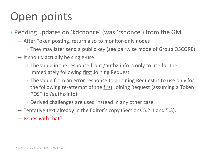#### Open points

› Pending updates on 'kdcnonce' (was 'rsnonce') from the GM

- After Token posting, return also to monitor-only nodes
	- › They may later send a public key (see pairwise mode of Group OSCORE)
- It should actually be single-use
	- $\rightarrow$  The value in the response from /authz-info is only to use for the immediately following <u>first</u> Joining Request
	- › The value from an error response to a Joining Request is to use only for the following re-attempt of the first Joining Request (assuming a Token POST to /authz-info)
	- › Derived challenges are used instead in any other case
- Tentative text already in the Editor's copy (Sections 5.2.1 and 5.3).
- Issues with that?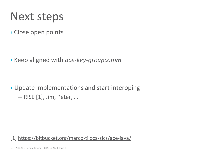#### Next steps

› Close open points

› Keep aligned with *ace-key-groupcomm*

› Update implementations and start interoping

 $-$  RISE  $[1]$ , Jim, Peter, ...

[1] [https://bitbucket.org/marco-tiloca-sics/ace-java/](https://bitbucket.org/lseitz/ace-java/)